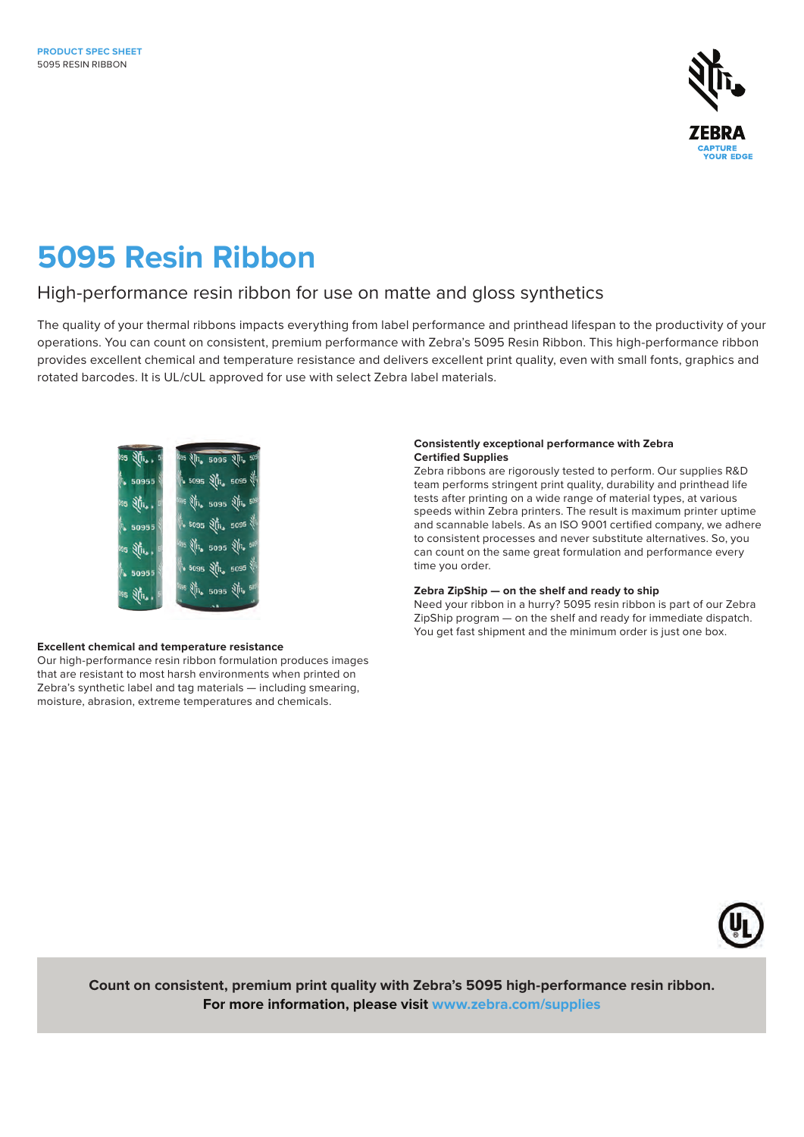

# **5095 Resin Ribbon**

### High-performance resin ribbon for use on matte and gloss synthetics

The quality of your thermal ribbons impacts everything from label performance and printhead lifespan to the productivity of your operations. You can count on consistent, premium performance with Zebra's 5095 Resin Ribbon. This high-performance ribbon provides excellent chemical and temperature resistance and delivers excellent print quality, even with small fonts, graphics and rotated barcodes. It is UL/cUL approved for use with select Zebra label materials.



#### **Excellent chemical and temperature resistance**

Our high-performance resin ribbon formulation produces images that are resistant to most harsh environments when printed on Zebra's synthetic label and tag materials — including smearing, moisture, abrasion, extreme temperatures and chemicals.

#### **Consistently exceptional performance with Zebra Certified Supplies**

Zebra ribbons are rigorously tested to perform. Our supplies R&D team performs stringent print quality, durability and printhead life tests after printing on a wide range of material types, at various speeds within Zebra printers. The result is maximum printer uptime and scannable labels. As an ISO 9001 certified company, we adhere to consistent processes and never substitute alternatives. So, you can count on the same great formulation and performance every time you order.

#### **Zebra ZipShip — on the shelf and ready to ship**

Need your ribbon in a hurry? 5095 resin ribbon is part of our Zebra ZipShip program — on the shelf and ready for immediate dispatch. You get fast shipment and the minimum order is just one box.



**Count on consistent, premium print quality with Zebra's 5095 high-performance resin ribbon. For more information, please visit [www.zebra.com/s](http://www.zebra.com/supplies)upplies**